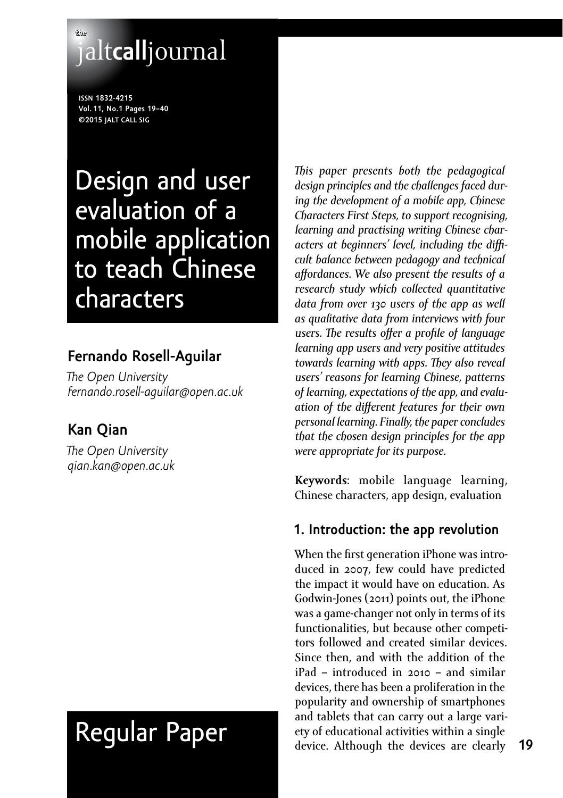# **the** jalt**call**journal

**issn 1832-4215 Vol. 11, No.1 Pages 19–40 ©2015 jalt call sig**

# Design and user evaluation of a mobile application to teach Chinese characters

# **Fernando Rosell-Aguilar**

*The Open University [fernando.rosell-aguilar@open.ac.uk](mailto:fernando.rosell-aguilar@open.ac.uk)*

# **Kan Qian**

*The Open University [qian.kan@open.ac.uk](mailto:qian.kan@open.ac.uk)* 

# Regular Paper

*This paper presents both the pedagogical design principles and the challenges faced during the development of a mobile app, Chinese Characters First Steps, to support recognising, learning and practising writing Chinese characters at beginners' level, including the difficult balance between pedagogy and technical affordances. We also present the results of a research study which collected quantitative data from over 130 users of the app as well as qualitative data from interviews with four users. The results offer a profile of language learning app users and very positive attitudes towards learning with apps. They also reveal users' reasons for learning Chinese, patterns of learning, expectations of the app, and evaluation of the different features for their own personal learning. Finally, the paper concludes that the chosen design principles for the app were appropriate for its purpose.*

**Keywords**: mobile language learning, Chinese characters, app design, evaluation

# **1. Introduction: the app revolution**

When the first generation iPhone was introduced in 2007, few could have predicted the impact it would have on education. As Godwin-Jones (2011) points out, the iPhone was a game-changer not only in terms of its functionalities, but because other competitors followed and created similar devices. Since then, and with the addition of the iPad – introduced in 2010 – and similar devices, there has been a proliferation in the popularity and ownership of smartphones and tablets that can carry out a large variety of educational activities within a single device. Although the devices are clearly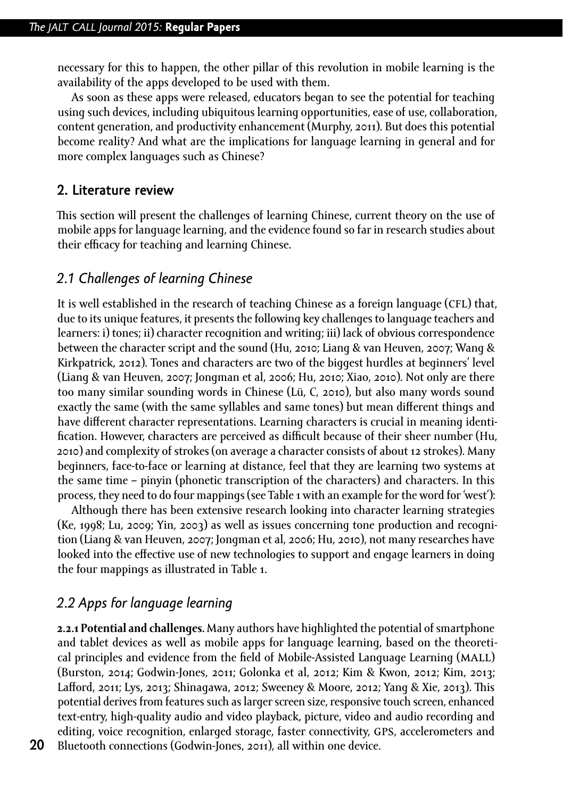necessary for this to happen, the other pillar of this revolution in mobile learning is the availability of the apps developed to be used with them.

As soon as these apps were released, educators began to see the potential for teaching using such devices, including ubiquitous learning opportunities, ease of use, collaboration, content generation, and productivity enhancement (Murphy, 2011). But does this potential become reality? And what are the implications for language learning in general and for more complex languages such as Chinese?

#### **2. Literature review**

This section will present the challenges of learning Chinese, current theory on the use of mobile apps for language learning, and the evidence found so far in research studies about their efficacy for teaching and learning Chinese.

## *2.1 Challenges of learning Chinese*

It is well established in the research of teaching Chinese as a foreign language (CFL) that, due to its unique features, it presents the following key challenges to language teachers and learners: i) tones; ii) character recognition and writing; iii) lack of obvious correspondence between the character script and the sound (Hu, 2010; Liang & van Heuven, 2007; Wang & Kirkpatrick, 2012). Tones and characters are two of the biggest hurdles at beginners' level (Liang & van Heuven, 2007; Jongman et al, 2006; Hu, 2010; Xiao, 2010). Not only are there too many similar sounding words in Chinese (Lü, C, 2010), but also many words sound exactly the same (with the same syllables and same tones) but mean different things and have different character representations. Learning characters is crucial in meaning identification. However, characters are perceived as difficult because of their sheer number (Hu, 2010) and complexity of strokes (on average a character consists of about 12 strokes). Many beginners, face-to-face or learning at distance, feel that they are learning two systems at the same time – pinyin (phonetic transcription of the characters) and characters. In this process, they need to do four mappings (see Table 1 with an example for the word for 'west'):

Although there has been extensive research looking into character learning strategies (Ke, 1998; Lu, 2009; Yin, 2003) as well as issues concerning tone production and recognition (Liang & van Heuven, 2007; Jongman et al, 2006; Hu, 2010), not many researches have looked into the effective use of new technologies to support and engage learners in doing the four mappings as illustrated in Table 1.

## *2.2 Apps for language learning*

**2.2.1 Potential and challenges.** Many authors have highlighted the potential of smartphone and tablet devices as well as mobile apps for language learning, based on the theoretical principles and evidence from the field of Mobile-Assisted Language Learning (MALL) (Burston, 2014; Godwin-Jones, 2011; Golonka et al, 2012; Kim & Kwon, 2012; Kim, 2013; Lafford, 2011; Lys, 2013; Shinagawa, 2012; Sweeney & Moore, 2012; Yang & Xie, 2013). This potential derives from features such as larger screen size, responsive touch screen, enhanced text-entry, high-quality audio and video playback, picture, video and audio recording and editing, voice recognition, enlarged storage, faster connectivity, gps, accelerometers and Bluetooth connections (Godwin-Jones, 2011), all within one device.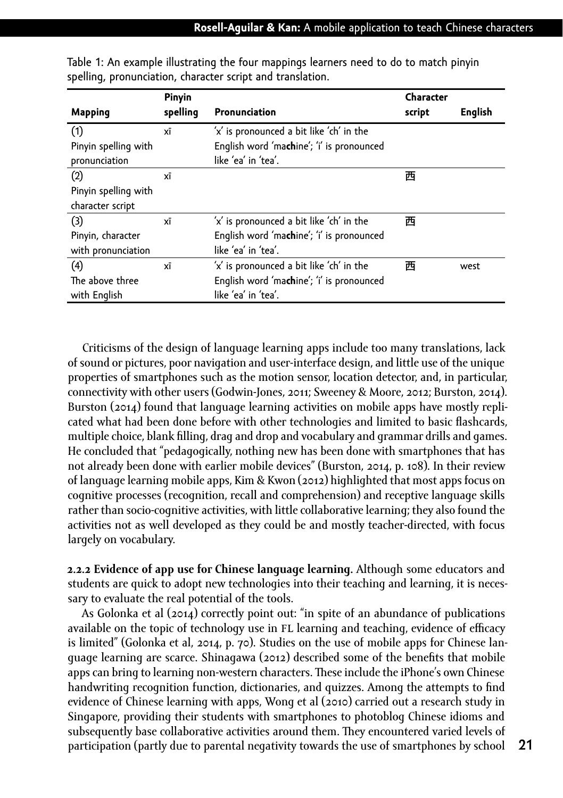|                      | Pinyin   |                                           | Character |         |
|----------------------|----------|-------------------------------------------|-----------|---------|
| <b>Mapping</b>       | spelling | Pronunciation                             | script    | English |
| (1)                  | xī       | 'x' is pronounced a bit like 'ch' in the  |           |         |
| Pinyin spelling with |          | English word 'machine'; 'i' is pronounced |           |         |
| pronunciation        |          | like 'ea' in 'tea'.                       |           |         |
| (2)                  | xī       |                                           | 西         |         |
| Pinyin spelling with |          |                                           |           |         |
| character script     |          |                                           |           |         |
| (3)                  | xī       | 'x' is pronounced a bit like 'ch' in the  | 西         |         |
| Pinyin, character    |          | English word 'machine'; 'i' is pronounced |           |         |
| with pronunciation   |          | like 'ea' in 'tea'.                       |           |         |
| (4)                  | xī       | 'x' is pronounced a bit like 'ch' in the  | 西         | west    |
| The above three      |          | English word 'machine'; 'i' is pronounced |           |         |
| with English         |          | like 'ea' in 'tea'.                       |           |         |

Table 1: An example illustrating the four mappings learners need to do to match pinyin spelling, pronunciation, character script and translation.

Criticisms of the design of language learning apps include too many translations, lack of sound or pictures, poor navigation and user-interface design, and little use of the unique properties of smartphones such as the motion sensor, location detector, and, in particular, connectivity with other users (Godwin-Jones, 2011; Sweeney & Moore, 2012; Burston, 2014). Burston (2014) found that language learning activities on mobile apps have mostly replicated what had been done before with other technologies and limited to basic flashcards, multiple choice, blank filling, drag and drop and vocabulary and grammar drills and games. He concluded that "pedagogically, nothing new has been done with smartphones that has not already been done with earlier mobile devices" (Burston, 2014, p. 108). In their review of language learning mobile apps, Kim & Kwon (2012) highlighted that most apps focus on cognitive processes (recognition, recall and comprehension) and receptive language skills rather than socio-cognitive activities, with little collaborative learning; they also found the activities not as well developed as they could be and mostly teacher-directed, with focus largely on vocabulary.

**2.2.2 Evidence of app use for Chinese language learning.** Although some educators and students are quick to adopt new technologies into their teaching and learning, it is necessary to evaluate the real potential of the tools.

As Golonka et al (2014) correctly point out: "in spite of an abundance of publications available on the topic of technology use in FL learning and teaching, evidence of efficacy is limited" (Golonka et al, 2014, p. 70). Studies on the use of mobile apps for Chinese language learning are scarce. Shinagawa (2012) described some of the benefits that mobile apps can bring to learning non-western characters. These include the iPhone's own Chinese handwriting recognition function, dictionaries, and quizzes. Among the attempts to find evidence of Chinese learning with apps, Wong et al (2010) carried out a research study in Singapore, providing their students with smartphones to photoblog Chinese idioms and subsequently base collaborative activities around them. They encountered varied levels of participation (partly due to parental negativity towards the use of smartphones by school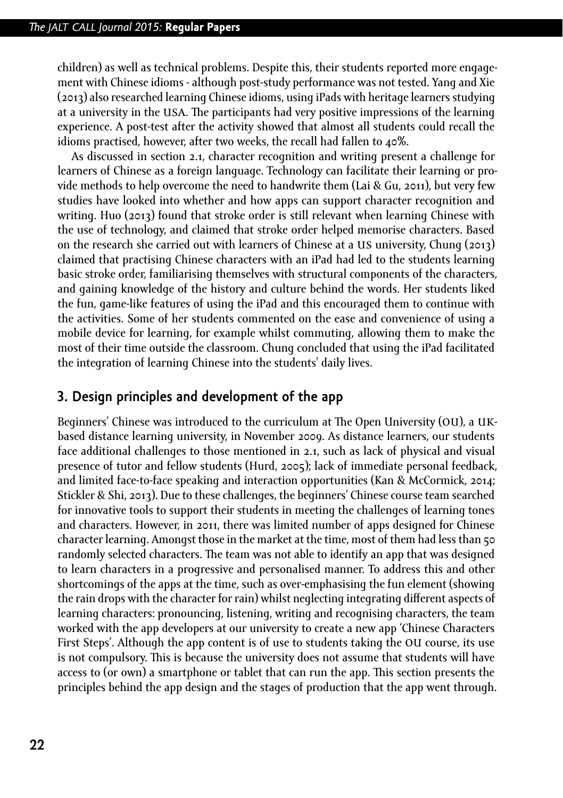children) as well as technical problems. Despite this, their students reported more engagement with Chinese idioms - although post-study performance was not tested. Yang and Xie (2013) also researched learning Chinese idioms, using iPads with heritage learners studying at a university in the USA. The participants had very positive impressions of the learning experience. A post-test after the activity showed that almost all students could recall the idioms practised, however, after two weeks, the recall had fallen to 40%.

As discussed in section 2.1, character recognition and writing present a challenge for learners of Chinese as a foreign language. Technology can facilitate their learning or provide methods to help overcome the need to handwrite them (Lai & Gu, 2011), but very few studies have looked into whether and how apps can support character recognition and writing. Huo (2013) found that stroke order is still relevant when learning Chinese with the use of technology, and claimed that stroke order helped memorise characters. Based on the research she carried out with learners of Chinese at a us university, Chung (2013) claimed that practising Chinese characters with an iPad had led to the students learning basic stroke order, familiarising themselves with structural components of the characters, and gaining knowledge of the history and culture behind the words. Her students liked the fun, game-like features of using the iPad and this encouraged them to continue with the activities. Some of her students commented on the ease and convenience of using a mobile device for learning, for example whilst commuting, allowing them to make the most of their time outside the classroom. Chung concluded that using the iPad facilitated the integration of learning Chinese into the students' daily lives.

## **3. Design principles and development of the app**

Beginners' Chinese was introduced to the curriculum at The Open University (ou), a ukbased distance learning university, in November 2009. As distance learners, our students face additional challenges to those mentioned in 2.1, such as lack of physical and visual presence of tutor and fellow students (Hurd, 2005); lack of immediate personal feedback, and limited face-to-face speaking and interaction opportunities (Kan & McCormick, 2014; Stickler & Shi, 2013). Due to these challenges, the beginners' Chinese course team searched for innovative tools to support their students in meeting the challenges of learning tones and characters. However, in 2011, there was limited number of apps designed for Chinese character learning. Amongst those in the market at the time, most of them had less than 50 randomly selected characters. The team was not able to identify an app that was designed to learn characters in a progressive and personalised manner. To address this and other shortcomings of the apps at the time, such as over-emphasising the fun element (showing the rain drops with the character for rain) whilst neglecting integrating different aspects of learning characters: pronouncing, listening, writing and recognising characters, the team worked with the app developers at our university to create a new app 'Chinese Characters First Steps'. Although the app content is of use to students taking the ou course, its use is not compulsory. This is because the university does not assume that students will have access to (or own) a smartphone or tablet that can run the app. This section presents the principles behind the app design and the stages of production that the app went through.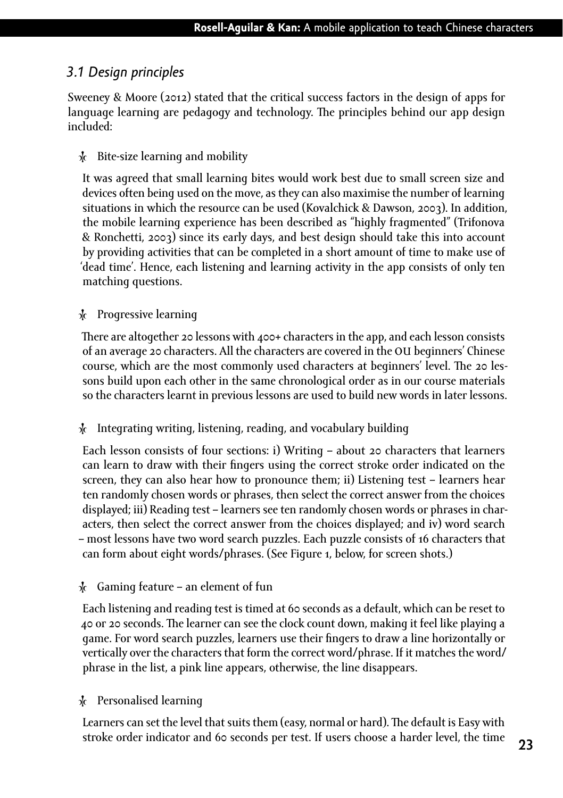## *3.1 Design principles*

Sweeney & Moore (2012) stated that the critical success factors in the design of apps for language learning are pedagogy and technology. The principles behind our app design included:

#### Ȼ Bite-size learning and mobility

It was agreed that small learning bites would work best due to small screen size and devices often being used on the move, as they can also maximise the number of learning situations in which the resource can be used (Kovalchick & Dawson, 2003). In addition, the mobile learning experience has been described as "highly fragmented" (Trifonova & Ronchetti, 2003) since its early days, and best design should take this into account by providing activities that can be completed in a short amount of time to make use of 'dead time'. Hence, each listening and learning activity in the app consists of only ten matching questions.

#### $\lambda$  Progressive learning

There are altogether 20 lessons with 400+ characters in the app, and each lesson consists of an average 20 characters. All the characters are covered in the ou beginners' Chinese course, which are the most commonly used characters at beginners' level. The 20 lessons build upon each other in the same chronological order as in our course materials so the characters learnt in previous lessons are used to build new words in later lessons.

#### Ȼ Integrating writing, listening, reading, and vocabulary building

Each lesson consists of four sections: i) Writing – about 20 characters that learners can learn to draw with their fingers using the correct stroke order indicated on the screen, they can also hear how to pronounce them; ii) Listening test – learners hear ten randomly chosen words or phrases, then select the correct answer from the choices displayed; iii) Reading test – learners see ten randomly chosen words or phrases in characters, then select the correct answer from the choices displayed; and iv) word search – most lessons have two word search puzzles. Each puzzle consists of 16 characters that can form about eight words/phrases. (See Figure 1, below, for screen shots.)

#### $\frac{1}{2}$  Gaming feature – an element of fun

Each listening and reading test is timed at 60 seconds as a default, which can be reset to 40 or 20 seconds. The learner can see the clock count down, making it feel like playing a game. For word search puzzles, learners use their fingers to draw a line horizontally or vertically over the characters that form the correct word/phrase. If it matches the word/ phrase in the list, a pink line appears, otherwise, the line disappears.

#### Ȼ Personalised learning

Learners can set the level that suits them (easy, normal or hard). The default is Easy with stroke order indicator and 60 seconds per test. If users choose a harder level, the time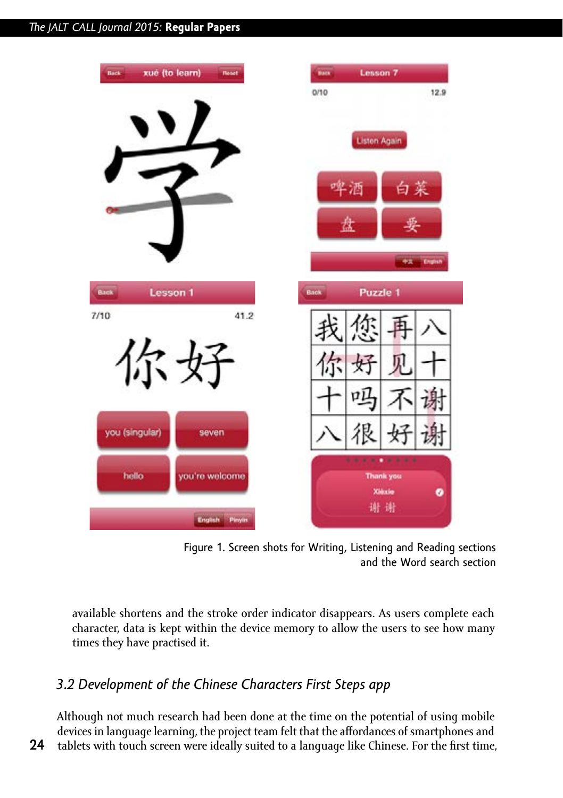



available shortens and the stroke order indicator disappears. As users complete each character, data is kept within the device memory to allow the users to see how many times they have practised it.

# *3.2 Development of the Chinese Characters First Steps app*

**24**

Although not much research had been done at the time on the potential of using mobile devices in language learning, the project team felt that the affordances of smartphones and tablets with touch screen were ideally suited to a language like Chinese. For the first time,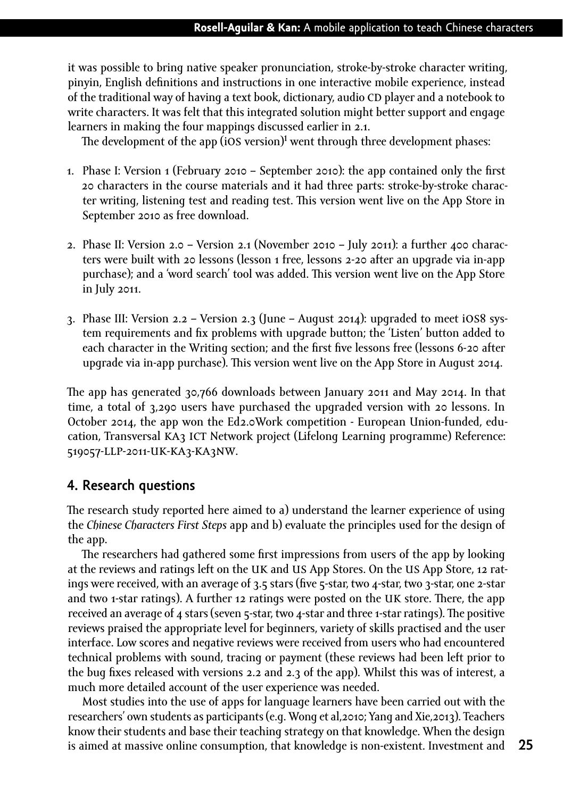it was possible to bring native speaker pronunciation, stroke-by-stroke character writing, pinyin, English definitions and instructions in one interactive mobile experience, instead of the traditional way of having a text book, dictionary, audio CD player and a notebook to write characters. It was felt that this integrated solution might better support and engage learners in making the four mappings discussed earlier in 2.1.

The development of the app (ios version)**<sup>1</sup>** went through three development phases:

- 1. Phase I: Version 1 (February 2010 September 2010): the app contained only the first 20 characters in the course materials and it had three parts: stroke-by-stroke character writing, listening test and reading test. This version went live on the App Store in September 2010 as free download.
- 2. Phase II: Version 2.0 Version 2.1 (November 2010 July 2011): a further 400 characters were built with 20 lessons (lesson 1 free, lessons 2-20 after an upgrade via in-app purchase); and a 'word search' tool was added. This version went live on the App Store in July 2011.
- 3. Phase III: Version 2.2 Version 2.3 (June August 2014): upgraded to meet ios8 system requirements and fix problems with upgrade button; the 'Listen' button added to each character in the Writing section; and the first five lessons free (lessons 6-20 after upgrade via in-app purchase). This version went live on the App Store in August 2014.

The app has generated 30,766 downloads between January 2011 and May 2014. In that time, a total of 3,290 users have purchased the upgraded version with 20 lessons. In October 2014, the app won the Ed2.0Work competition - European Union-funded, education, Transversal KA3 ICT Network project (Lifelong Learning programme) Reference: 519057-LLP-2011-UK-KA3-KA3NW.

## **4. Research questions**

The research study reported here aimed to a) understand the learner experience of using the *Chinese Characters First Steps* app and b) evaluate the principles used for the design of the app.

The researchers had gathered some first impressions from users of the app by looking at the reviews and ratings left on the uk and us App Stores. On the us App Store, 12 ratings were received, with an average of 3.5 stars (five 5-star, two 4-star, two 3-star, one 2-star and two 1-star ratings). A further 12 ratings were posted on the uk store. There, the app received an average of 4 stars (seven 5-star, two 4-star and three 1-star ratings). The positive reviews praised the appropriate level for beginners, variety of skills practised and the user interface. Low scores and negative reviews were received from users who had encountered technical problems with sound, tracing or payment (these reviews had been left prior to the bug fixes released with versions 2.2 and 2.3 of the app). Whilst this was of interest, a much more detailed account of the user experience was needed.

Most studies into the use of apps for language learners have been carried out with the researchers' own students as participants (e.g. Wong et al,2010; Yang and Xie,2013). Teachers know their students and base their teaching strategy on that knowledge. When the design is aimed at massive online consumption, that knowledge is non-existent. Investment and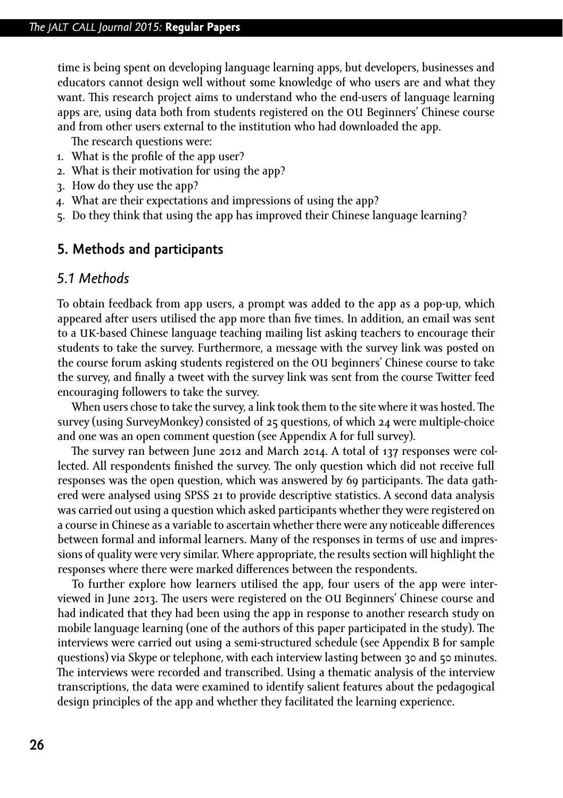time is being spent on developing language learning apps, but developers, businesses and educators cannot design well without some knowledge of who users are and what they want. This research project aims to understand who the end-users of language learning apps are, using data both from students registered on the ou Beginners' Chinese course and from other users external to the institution who had downloaded the app.

The research questions were:

- 1. What is the profile of the app user?
- 2. What is their motivation for using the app?
- 3. How do they use the app?
- 4. What are their expectations and impressions of using the app?
- 5. Do they think that using the app has improved their Chinese language learning?

## **5. Methods and participants**

#### *5.1 Methods*

To obtain feedback from app users, a prompt was added to the app as a pop-up, which appeared after users utilised the app more than five times. In addition, an email was sent to a uk-based Chinese language teaching mailing list asking teachers to encourage their students to take the survey. Furthermore, a message with the survey link was posted on the course forum asking students registered on the ou beginners' Chinese course to take the survey, and finally a tweet with the survey link was sent from the course Twitter feed encouraging followers to take the survey.

When users chose to take the survey, a link took them to the site where it was hosted. The survey (using SurveyMonkey) consisted of 25 questions, of which 24 were multiple-choice and one was an open comment question (see Appendix A for full survey).

The survey ran between June 2012 and March 2014. A total of 137 responses were collected. All respondents finished the survey. The only question which did not receive full responses was the open question, which was answered by 69 participants. The data gathered were analysed using SPSS 21 to provide descriptive statistics. A second data analysis was carried out using a question which asked participants whether they were registered on a course in Chinese as a variable to ascertain whether there were any noticeable differences between formal and informal learners. Many of the responses in terms of use and impressions of quality were very similar. Where appropriate, the results section will highlight the responses where there were marked differences between the respondents.

To further explore how learners utilised the app, four users of the app were interviewed in June 2013. The users were registered on the ou Beginners' Chinese course and had indicated that they had been using the app in response to another research study on mobile language learning (one of the authors of this paper participated in the study). The interviews were carried out using a semi-structured schedule (see Appendix B for sample questions) via Skype or telephone, with each interview lasting between 30 and 50 minutes. The interviews were recorded and transcribed. Using a thematic analysis of the interview transcriptions, the data were examined to identify salient features about the pedagogical design principles of the app and whether they facilitated the learning experience.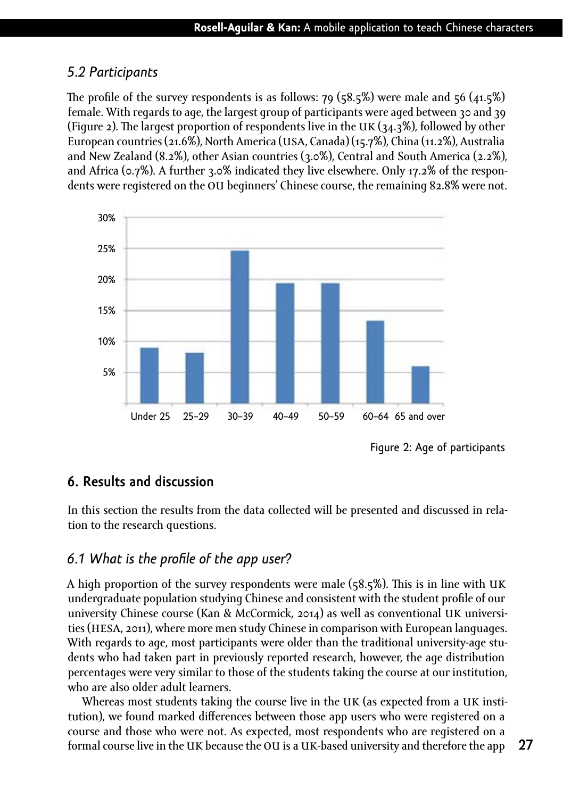## *5.2 Participants*

The profile of the survey respondents is as follows:  $79$  ( $58.5\%$ ) were male and  $56$  ( $41.5\%$ ) female. With regards to age, the largest group of participants were aged between 30 and 39 (Figure 2). The largest proportion of respondents live in the UK  $(34.3\%)$ , followed by other European countries (21.6%), North America (usa, Canada) (15.7%), China (11.2%), Australia and New Zealand (8.2%), other Asian countries (3.0%), Central and South America (2.2%), and Africa (0.7%). A further 3.0% indicated they live elsewhere. Only 17.2% of the respondents were registered on the OU beginners' Chinese course, the remaining 82.8% were not.



Figure 2: Age of participants

## **6. Results and discussion**

In this section the results from the data collected will be presented and discussed in relation to the research questions.

## *6.1 What is the profile of the app user?*

A high proportion of the survey respondents were male ( $58.5\%$ ). This is in line with UK undergraduate population studying Chinese and consistent with the student profile of our university Chinese course (Kan & McCormick, 2014) as well as conventional uk universities (HESA, 2011), where more men study Chinese in comparison with European languages. With regards to age, most participants were older than the traditional university-age students who had taken part in previously reported research, however, the age distribution percentages were very similar to those of the students taking the course at our institution, who are also older adult learners.

Whereas most students taking the course live in the UK (as expected from a UK institution), we found marked differences between those app users who were registered on a course and those who were not. As expected, most respondents who are registered on a formal course live in the UK because the OU is a UK-based university and therefore the app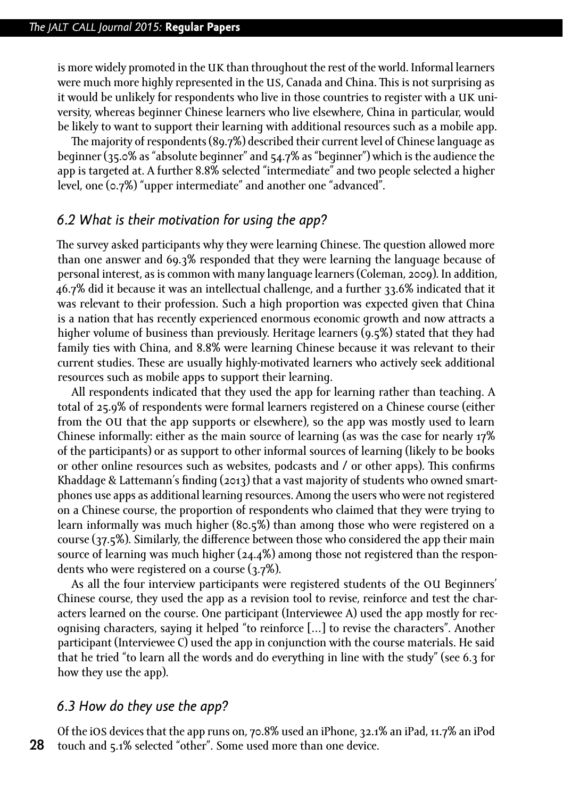is more widely promoted in the UK than throughout the rest of the world. Informal learners were much more highly represented in the us, Canada and China. This is not surprising as it would be unlikely for respondents who live in those countries to register with a uk university, whereas beginner Chinese learners who live elsewhere, China in particular, would be likely to want to support their learning with additional resources such as a mobile app.

The majority of respondents (89.7%) described their current level of Chinese language as beginner (35.0% as "absolute beginner" and 54.7% as "beginner") which is the audience the app is targeted at. A further 8.8% selected "intermediate" and two people selected a higher level, one (0.7%) "upper intermediate" and another one "advanced".

## *6.2 What is their motivation for using the app?*

The survey asked participants why they were learning Chinese. The question allowed more than one answer and 69.3% responded that they were learning the language because of personal interest, as is common with many language learners (Coleman, 2009). In addition, 46.7% did it because it was an intellectual challenge, and a further 33.6% indicated that it was relevant to their profession. Such a high proportion was expected given that China is a nation that has recently experienced enormous economic growth and now attracts a higher volume of business than previously. Heritage learners (9.5%) stated that they had family ties with China, and 8.8% were learning Chinese because it was relevant to their current studies. These are usually highly-motivated learners who actively seek additional resources such as mobile apps to support their learning.

All respondents indicated that they used the app for learning rather than teaching. A total of 25.9% of respondents were formal learners registered on a Chinese course (either from the ou that the app supports or elsewhere), so the app was mostly used to learn Chinese informally: either as the main source of learning (as was the case for nearly 17% of the participants) or as support to other informal sources of learning (likely to be books or other online resources such as websites, podcasts and / or other apps). This confirms Khaddage & Lattemann's finding (2013) that a vast majority of students who owned smartphones use apps as additional learning resources. Among the users who were not registered on a Chinese course, the proportion of respondents who claimed that they were trying to learn informally was much higher (80.5%) than among those who were registered on a course (37.5%). Similarly, the difference between those who considered the app their main source of learning was much higher (24.4%) among those not registered than the respondents who were registered on a course (3.7%).

As all the four interview participants were registered students of the ou Beginners' Chinese course, they used the app as a revision tool to revise, reinforce and test the characters learned on the course. One participant (Interviewee A) used the app mostly for recognising characters, saying it helped "to reinforce […] to revise the characters". Another participant (Interviewee C) used the app in conjunction with the course materials. He said that he tried "to learn all the words and do everything in line with the study" (see 6.3 for how they use the app).

#### *6.3 How do they use the app?*

**28** Of the ios devices that the app runs on, 70.8% used an iPhone, 32.1% an iPad, 11.7% an iPod touch and 5.1% selected "other". Some used more than one device.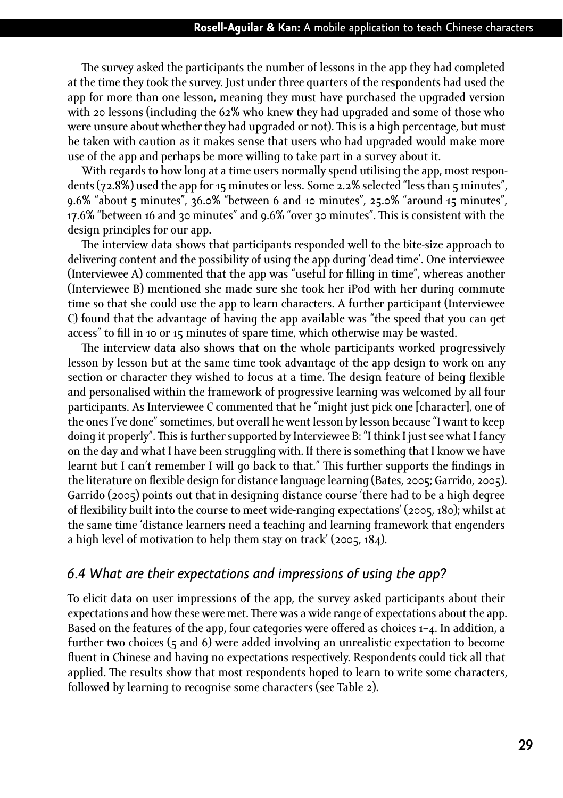The survey asked the participants the number of lessons in the app they had completed at the time they took the survey. Just under three quarters of the respondents had used the app for more than one lesson, meaning they must have purchased the upgraded version with 20 lessons (including the 62% who knew they had upgraded and some of those who were unsure about whether they had upgraded or not). This is a high percentage, but must be taken with caution as it makes sense that users who had upgraded would make more use of the app and perhaps be more willing to take part in a survey about it.

With regards to how long at a time users normally spend utilising the app, most respondents (72.8%) used the app for 15 minutes or less. Some 2.2% selected "less than 5 minutes", 9.6% "about 5 minutes", 36.0% "between 6 and 10 minutes", 25.0% "around 15 minutes", 17.6% "between 16 and 30 minutes" and 9.6% "over 30 minutes". This is consistent with the design principles for our app.

The interview data shows that participants responded well to the bite-size approach to delivering content and the possibility of using the app during 'dead time'. One interviewee (Interviewee A) commented that the app was "useful for filling in time", whereas another (Interviewee B) mentioned she made sure she took her iPod with her during commute time so that she could use the app to learn characters. A further participant (Interviewee C) found that the advantage of having the app available was "the speed that you can get access" to fill in 10 or 15 minutes of spare time, which otherwise may be wasted.

The interview data also shows that on the whole participants worked progressively lesson by lesson but at the same time took advantage of the app design to work on any section or character they wished to focus at a time. The design feature of being flexible and personalised within the framework of progressive learning was welcomed by all four participants. As Interviewee C commented that he "might just pick one [character], one of the ones I've done" sometimes, but overall he went lesson by lesson because "I want to keep doing it properly". This is further supported by Interviewee B: "I think I just see what I fancy on the day and what I have been struggling with. If there is something that I know we have learnt but I can't remember I will go back to that." This further supports the findings in the literature on flexible design for distance language learning (Bates, 2005; Garrido, 2005). Garrido (2005) points out that in designing distance course 'there had to be a high degree of flexibility built into the course to meet wide-ranging expectations' (2005, 180); whilst at the same time 'distance learners need a teaching and learning framework that engenders a high level of motivation to help them stay on track' (2005, 184).

## *6.4 What are their expectations and impressions of using the app?*

To elicit data on user impressions of the app, the survey asked participants about their expectations and how these were met. There was a wide range of expectations about the app. Based on the features of the app, four categories were offered as choices 1–4. In addition, a further two choices (5 and 6) were added involving an unrealistic expectation to become fluent in Chinese and having no expectations respectively. Respondents could tick all that applied. The results show that most respondents hoped to learn to write some characters, followed by learning to recognise some characters (see Table 2).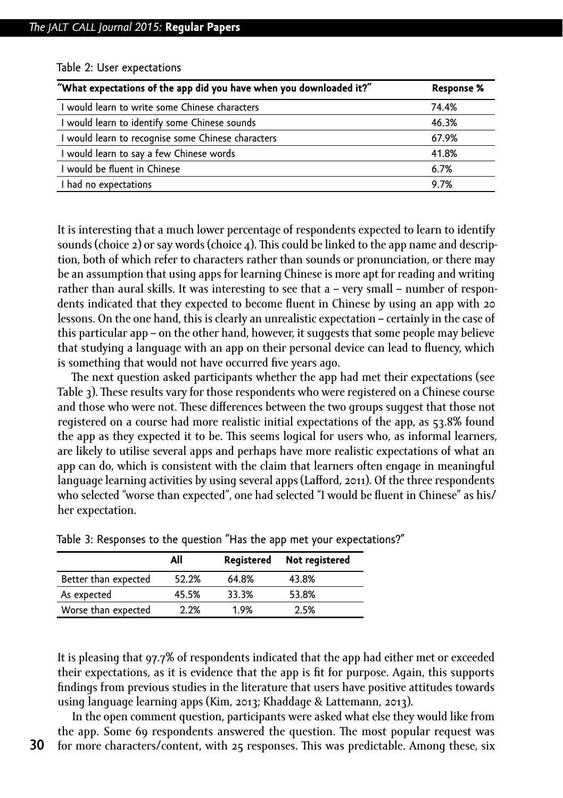| "What expectations of the app did you have when you downloaded it?" | <b>Response %</b> |
|---------------------------------------------------------------------|-------------------|
| I would learn to write some Chinese characters                      | 74.4%             |
| I would learn to identify some Chinese sounds                       | 46.3%             |
| I would learn to recognise some Chinese characters                  | 67.9%             |
| I would learn to say a few Chinese words                            | 41.8%             |
| I would be fluent in Chinese                                        | 6.7%              |
| I had no expectations                                               | 9.7%              |

Table 2: User expectations

It is interesting that a much lower percentage of respondents expected to learn to identify sounds (choice  $2$ ) or say words (choice  $4$ ). This could be linked to the app name and description, both of which refer to characters rather than sounds or pronunciation, or there may be an assumption that using apps for learning Chinese is more apt for reading and writing rather than aural skills. It was interesting to see that a – very small – number of respondents indicated that they expected to become fluent in Chinese by using an app with 20 lessons. On the one hand, this is clearly an unrealistic expectation – certainly in the case of this particular app – on the other hand, however, it suggests that some people may believe that studying a language with an app on their personal device can lead to fluency, which is something that would not have occurred five years ago.

The next question asked participants whether the app had met their expectations (see Table 3). These results vary for those respondents who were registered on a Chinese course and those who were not. These differences between the two groups suggest that those not registered on a course had more realistic initial expectations of the app, as 53.8% found the app as they expected it to be. This seems logical for users who, as informal learners, are likely to utilise several apps and perhaps have more realistic expectations of what an app can do, which is consistent with the claim that learners often engage in meaningful language learning activities by using several apps (Lafford, 2011). Of the three respondents who selected "worse than expected", one had selected "I would be fluent in Chinese" as his/ her expectation.

|                      | All   | Registered | Not registered |
|----------------------|-------|------------|----------------|
| Better than expected | 52.2% | 64.8%      | 43.8%          |
| As expected          | 45.5% | 33.3%      | 53.8%          |
| Worse than expected  | 2.2%  | 1.9%       | 2.5%           |

| Table 3: Responses to the question "Has the app met your expectations?" |  |
|-------------------------------------------------------------------------|--|
|-------------------------------------------------------------------------|--|

It is pleasing that 97.7% of respondents indicated that the app had either met or exceeded their expectations, as it is evidence that the app is fit for purpose. Again, this supports findings from previous studies in the literature that users have positive attitudes towards using language learning apps (Kim, 2013; Khaddage & Lattemann, 2013).

In the open comment question, participants were asked what else they would like from the app. Some 69 respondents answered the question. The most popular request was for more characters/content, with 25 responses. This was predictable. Among these, six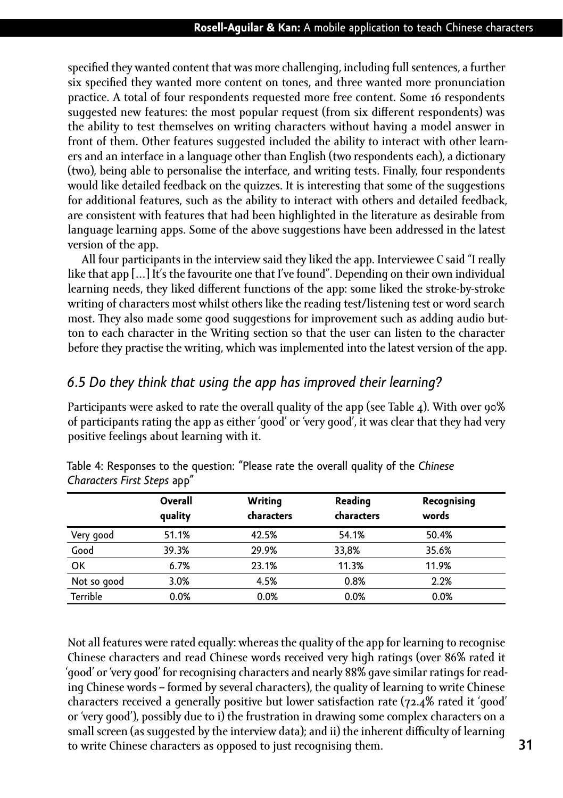specified they wanted content that was more challenging, including full sentences, a further six specified they wanted more content on tones, and three wanted more pronunciation practice. A total of four respondents requested more free content. Some 16 respondents suggested new features: the most popular request (from six different respondents) was the ability to test themselves on writing characters without having a model answer in front of them. Other features suggested included the ability to interact with other learners and an interface in a language other than English (two respondents each), a dictionary (two), being able to personalise the interface, and writing tests. Finally, four respondents would like detailed feedback on the quizzes. It is interesting that some of the suggestions for additional features, such as the ability to interact with others and detailed feedback, are consistent with features that had been highlighted in the literature as desirable from language learning apps. Some of the above suggestions have been addressed in the latest version of the app.

All four participants in the interview said they liked the app. Interviewee C said "I really like that app […] It's the favourite one that I've found". Depending on their own individual learning needs, they liked different functions of the app: some liked the stroke-by-stroke writing of characters most whilst others like the reading test/listening test or word search most. They also made some good suggestions for improvement such as adding audio button to each character in the Writing section so that the user can listen to the character before they practise the writing, which was implemented into the latest version of the app.

## *6.5 Do they think that using the app has improved their learning?*

Participants were asked to rate the overall quality of the app (see Table 4). With over 90% of participants rating the app as either 'good' or 'very good', it was clear that they had very positive feelings about learning with it.

|             | Overall<br>quality | Writing<br>characters | Reading<br>characters | Recognising<br>words |
|-------------|--------------------|-----------------------|-----------------------|----------------------|
| Very good   | 51.1%              | 42.5%                 | 54.1%                 | 50.4%                |
| Good        | 39.3%              | 29.9%                 | 33,8%                 | 35.6%                |
| OK          | 6.7%               | 23.1%                 | 11.3%                 | 11.9%                |
| Not so good | 3.0%               | 4.5%                  | 0.8%                  | 2.2%                 |
| Terrible    | 0.0%               | 0.0%                  | 0.0%                  | 0.0%                 |

Table 4: Responses to the question: "Please rate the overall quality of the *Chinese Characters First Steps* app"

Not all features were rated equally: whereas the quality of the app for learning to recognise Chinese characters and read Chinese words received very high ratings (over 86% rated it 'good' or 'very good' for recognising characters and nearly 88% gave similar ratings for reading Chinese words – formed by several characters), the quality of learning to write Chinese characters received a generally positive but lower satisfaction rate (72.4% rated it 'good' or 'very good'), possibly due to i) the frustration in drawing some complex characters on a small screen (as suggested by the interview data); and ii) the inherent difficulty of learning to write Chinese characters as opposed to just recognising them.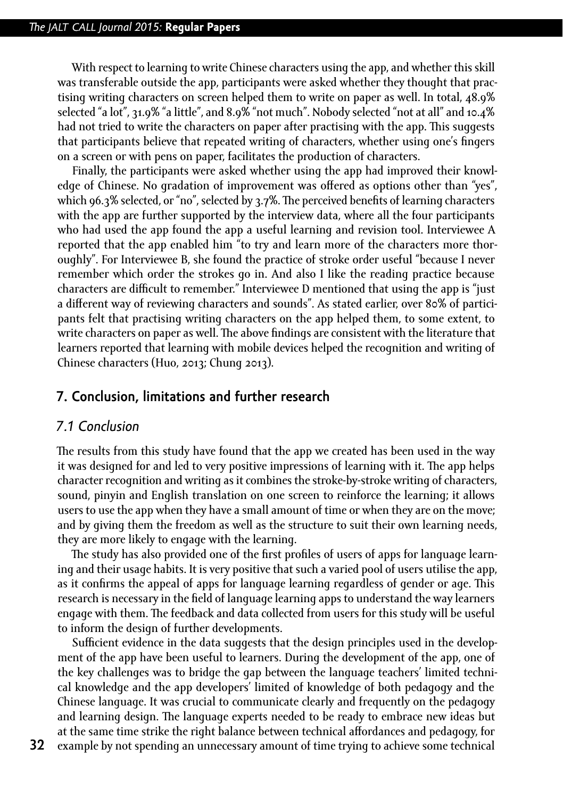With respect to learning to write Chinese characters using the app, and whether this skill was transferable outside the app, participants were asked whether they thought that practising writing characters on screen helped them to write on paper as well. In total, 48.9% selected "a lot", 31.9% "a little", and 8.9% "not much". Nobody selected "not at all" and 10.4% had not tried to write the characters on paper after practising with the app. This suggests that participants believe that repeated writing of characters, whether using one's fingers on a screen or with pens on paper, facilitates the production of characters.

Finally, the participants were asked whether using the app had improved their knowledge of Chinese. No gradation of improvement was offered as options other than "yes", which 96.3% selected, or "no", selected by 3.7%. The perceived benefits of learning characters with the app are further supported by the interview data, where all the four participants who had used the app found the app a useful learning and revision tool. Interviewee A reported that the app enabled him "to try and learn more of the characters more thoroughly". For Interviewee B, she found the practice of stroke order useful "because I never remember which order the strokes go in. And also I like the reading practice because characters are difficult to remember." Interviewee D mentioned that using the app is "just a different way of reviewing characters and sounds". As stated earlier, over 80% of participants felt that practising writing characters on the app helped them, to some extent, to write characters on paper as well. The above findings are consistent with the literature that learners reported that learning with mobile devices helped the recognition and writing of Chinese characters (Huo, 2013; Chung 2013).

#### **7. Conclusion, limitations and further research**

#### *7.1 Conclusion*

The results from this study have found that the app we created has been used in the way it was designed for and led to very positive impressions of learning with it. The app helps character recognition and writing as it combines the stroke-by-stroke writing of characters, sound, pinyin and English translation on one screen to reinforce the learning; it allows users to use the app when they have a small amount of time or when they are on the move; and by giving them the freedom as well as the structure to suit their own learning needs, they are more likely to engage with the learning.

The study has also provided one of the first profiles of users of apps for language learning and their usage habits. It is very positive that such a varied pool of users utilise the app, as it confirms the appeal of apps for language learning regardless of gender or age. This research is necessary in the field of language learning apps to understand the way learners engage with them. The feedback and data collected from users for this study will be useful to inform the design of further developments.

Sufficient evidence in the data suggests that the design principles used in the development of the app have been useful to learners. During the development of the app, one of the key challenges was to bridge the gap between the language teachers' limited technical knowledge and the app developers' limited of knowledge of both pedagogy and the Chinese language. It was crucial to communicate clearly and frequently on the pedagogy and learning design. The language experts needed to be ready to embrace new ideas but at the same time strike the right balance between technical affordances and pedagogy, for example by not spending an unnecessary amount of time trying to achieve some technical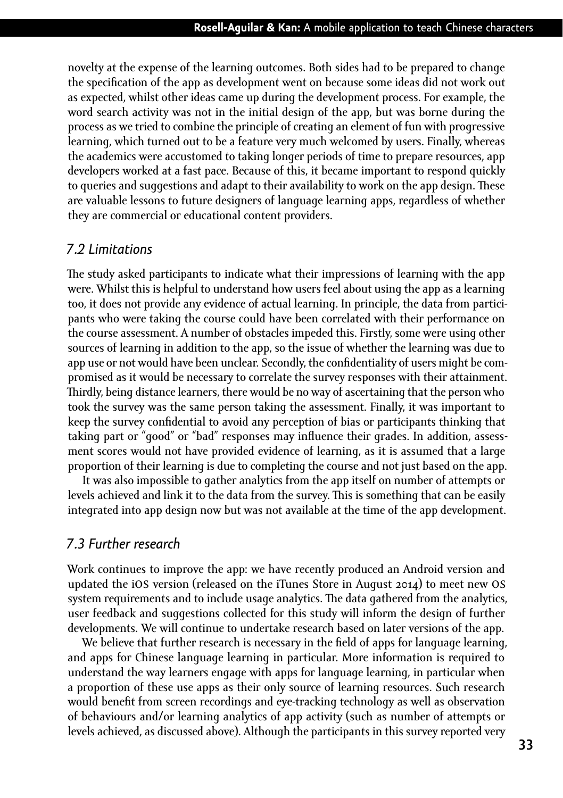novelty at the expense of the learning outcomes. Both sides had to be prepared to change the specification of the app as development went on because some ideas did not work out as expected, whilst other ideas came up during the development process. For example, the word search activity was not in the initial design of the app, but was borne during the process as we tried to combine the principle of creating an element of fun with progressive learning, which turned out to be a feature very much welcomed by users. Finally, whereas the academics were accustomed to taking longer periods of time to prepare resources, app developers worked at a fast pace. Because of this, it became important to respond quickly to queries and suggestions and adapt to their availability to work on the app design. These are valuable lessons to future designers of language learning apps, regardless of whether they are commercial or educational content providers.

#### *7.2 Limitations*

The study asked participants to indicate what their impressions of learning with the app were. Whilst this is helpful to understand how users feel about using the app as a learning too, it does not provide any evidence of actual learning. In principle, the data from participants who were taking the course could have been correlated with their performance on the course assessment. A number of obstacles impeded this. Firstly, some were using other sources of learning in addition to the app, so the issue of whether the learning was due to app use or not would have been unclear. Secondly, the confidentiality of users might be compromised as it would be necessary to correlate the survey responses with their attainment. Thirdly, being distance learners, there would be no way of ascertaining that the person who took the survey was the same person taking the assessment. Finally, it was important to keep the survey confidential to avoid any perception of bias or participants thinking that taking part or "good" or "bad" responses may influence their grades. In addition, assessment scores would not have provided evidence of learning, as it is assumed that a large proportion of their learning is due to completing the course and not just based on the app.

It was also impossible to gather analytics from the app itself on number of attempts or levels achieved and link it to the data from the survey. This is something that can be easily integrated into app design now but was not available at the time of the app development.

## *7.3 Further research*

Work continues to improve the app: we have recently produced an Android version and updated the ios version (released on the iTunes Store in August 2014) to meet new os system requirements and to include usage analytics. The data gathered from the analytics, user feedback and suggestions collected for this study will inform the design of further developments. We will continue to undertake research based on later versions of the app.

We believe that further research is necessary in the field of apps for language learning, and apps for Chinese language learning in particular. More information is required to understand the way learners engage with apps for language learning, in particular when a proportion of these use apps as their only source of learning resources. Such research would benefit from screen recordings and eye-tracking technology as well as observation of behaviours and/or learning analytics of app activity (such as number of attempts or levels achieved, as discussed above). Although the participants in this survey reported very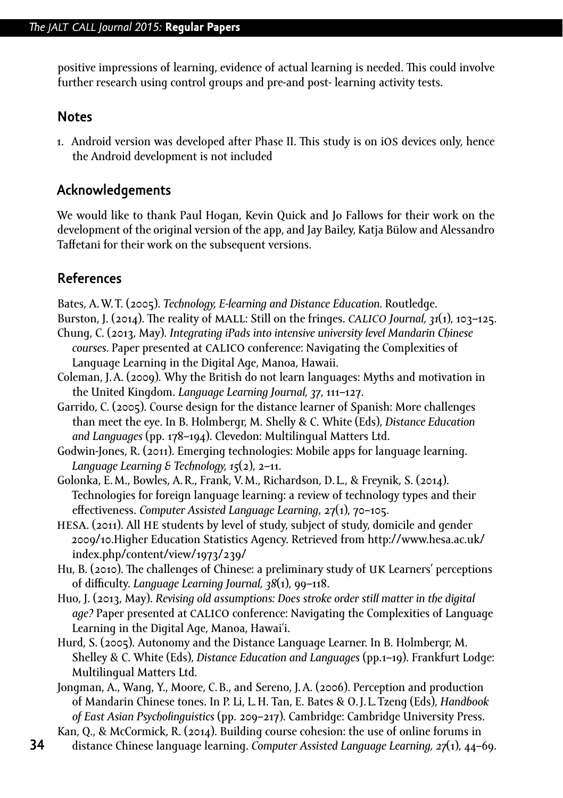positive impressions of learning, evidence of actual learning is needed. This could involve further research using control groups and pre-and post- learning activity tests.

## **Notes**

1. Android version was developed after Phase II. This study is on ios devices only, hence the Android development is not included

## **Acknowledgements**

We would like to thank Paul Hogan, Kevin Quick and Jo Fallows for their work on the development of the original version of the app, and Jay Bailey, Katja Bülow and Alessandro Taffetani for their work on the subsequent versions.

## **References**

Bates, A.W.T. (2005). *Technology, E-learning and Distance Education.* Routledge.

Burston, J. (2014). The reality of mall: Still on the fringes. *calico Journal, 31*(1), 103–125. Chung, C. (2013, May). *Integrating iPads into intensive university level Mandarin Chinese* 

- courses. Paper presented at CALICO conference: Navigating the Complexities of Language Learning in the Digital Age, Manoa, Hawaii.
- Coleman, J.A. (2009). Why the British do not learn languages: Myths and motivation in the United Kingdom. *Language Learning Journal, 37*, 111–127.
- Garrido, C. (2005). Course design for the distance learner of Spanish: More challenges than meet the eye. In B. Holmbergr, M. Shelly & C. White (Eds), *Distance Education and Languages* (pp. 178–194). Clevedon: Multilingual Matters Ltd.
- Godwin-Jones, R. (2011). Emerging technologies: Mobile apps for language learning. *Language Learning & Technology, 15*(2), 2–11.
- Golonka, E.M., Bowles, A.R., Frank, V.M., Richardson, D. L., & Freynik, S. (2014). Technologies for foreign language learning: a review of technology types and their effectiveness. *Computer Assisted Language Learning*, 27(1), 70–105.
- HESA. (2011). All HE students by level of study, subject of study, domicile and gender 2009/10.Higher Education Statistics Agency. Retrieved from [http://www.hesa.ac.uk/](http://www.hesa.ac.uk/index.php/content/view/1973/239/) [index.php/content/view/1973/239/](http://www.hesa.ac.uk/index.php/content/view/1973/239/)
- Hu, B. (2010). The challenges of Chinese: a preliminary study of uk Learners' perceptions of difficulty. *Language Learning Journal, 38*(1), 99–118.
- Huo, J. (2013, May). *Revising old assumptions: Does stroke order still matter in the digital age?* Paper presented at CALICO conference: Navigating the Complexities of Language Learning in the Digital Age, Manoa, Hawai'i.
- Hurd, S. (2005). Autonomy and the Distance Language Learner. In B. Holmbergr, M. Shelley & C. White (Eds), *Distance Education and Languages* (pp.1–19). Frankfurt Lodge: Multilingual Matters Ltd.
- Jongman, A., Wang, Y., Moore, C.B., and Sereno, J.A. (2006). Perception and production of Mandarin Chinese tones. In P. Li, L.H. Tan, E. Bates & O.J. L.Tzeng (Eds), *Handbook of East Asian Psycholinguistics* (pp. 209–217). Cambridge: Cambridge University Press.

Kan, Q., & McCormick, R. (2014). Building course cohesion: the use of online forums in distance Chinese language learning. *Computer Assisted Language Learning, 27*(1), 44–69.

**34**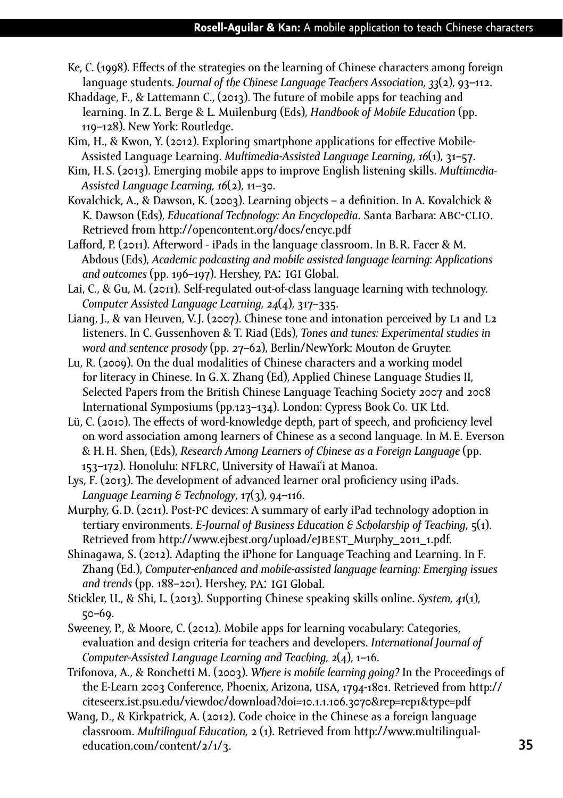- Ke, C. (1998). Effects of the strategies on the learning of Chinese characters among foreign language students. *Journal of the Chinese Language Teachers Association, 33*(2), 93–112.
- Khaddage, F., & Lattemann C., (2013). The future of mobile apps for teaching and learning. In Z. L. Berge & L. Muilenburg (Eds), *Handbook of Mobile Education* (pp. 119–128). New York: Routledge.
- Kim, H., & Kwon, Y. (2012). Exploring smartphone applications for effective Mobile-Assisted Language Learning. *Multimedia-Assisted Language Learning*, *16*(1), 31–57.
- Kim, H.S. (2013). Emerging mobile apps to improve English listening skills. *Multimedia-Assisted Language Learning, 16*(2), 11–30.
- Kovalchick, A., & Dawson, K. (2003). Learning objects a definition. In A. Kovalchick & K. Dawson (Eds), *Educational Technology: An Encyclopedia*. Santa Barbara: abc-clio. Retrieved from<http://opencontent.org/docs/encyc.pdf>
- Lafford, P. (2011). Afterword iPads in the language classroom. In B.R. Facer & M. Abdous (Eds), *Academic podcasting and mobile assisted language learning: Applications and outcomes* (pp. 196–197). Hershey, pa: igi Global.
- Lai, C., & Gu, M. (2011). Self-regulated out-of-class language learning with technology. *Computer Assisted Language Learning, 24*(4), 317–335.
- Liang, J., & van Heuven, V.J. (2007). Chinese tone and intonation perceived by L1 and L2 listeners. In C. Gussenhoven & T. Riad (Eds), *Tones and tunes: Experimental studies in word and sentence prosody* (pp. 27–62), Berlin/NewYork: Mouton de Gruyter.
- Lu, R. (2009). On the dual modalities of Chinese characters and a working model for literacy in Chinese. In G.X. Zhang (Ed), Applied Chinese Language Studies II, Selected Papers from the British Chinese Language Teaching Society 2007 and 2008 International Symposiums (pp.123–134). London: Cypress Book Co. uk Ltd.
- Lü, C. (2010). The effects of word-knowledge depth, part of speech, and proficiency level on word association among learners of Chinese as a second language. In M.E. Everson & H.H. Shen, (Eds), *Research Among Learners of Chinese as a Foreign Language* (pp. 153–172). Honolulu: nflrc, University of Hawai'i at Manoa.
- Lys, F. (2013). The development of advanced learner oral proficiency using iPads. *Language Learning & Technology*, 17(3), 94–116.
- Murphy, G.D. (2011). Post-pc devices: A summary of early iPad technology adoption in tertiary environments. *E-Journal of Business Education & Scholarship of Teaching*, 5(1). Retrieved from [http://www.ejbest.org/upload/e](http://www.ejbest.org/upload/ejbest_Murphy_2011_1.pdf)jbest\_Murphy\_2011\_1.pdf.
- Shinagawa, S. (2012). Adapting the iPhone for Language Teaching and Learning. In F. Zhang (Ed.), *Computer-enhanced and mobile-assisted language learning: Emerging issues and trends* (pp. 188–201). Hershey, pa: igi Global.
- Stickler, U., & Shi, L. (2013). Supporting Chinese speaking skills online. *System, 41*(1), 50–69.
- Sweeney, P., & Moore, C. (2012). Mobile apps for learning vocabulary: Categories, evaluation and design criteria for teachers and developers. *International Journal of Computer-Assisted Language Learning and Teaching, 2*(4), 1–16.
- Trifonova, A., & Ronchetti M. (2003). *Where is mobile learning going?* In the Proceedings of the E-Learn 2003 Conference, Phoenix, Arizona, USA, 1794-1801. Retrieved from [http://](http://citeseerx.ist.psu.edu/viewdoc/download?doi=10.1.1.106.3070&rep=rep1&type=pdf) [citeseerx.ist.psu.edu/viewdoc/download?doi=10.1.1.106.3070&rep=rep1&type=pdf](http://citeseerx.ist.psu.edu/viewdoc/download?doi=10.1.1.106.3070&rep=rep1&type=pdf)
- Wang, D., & Kirkpatrick, A. (2012). Code choice in the Chinese as a foreign language classroom. *Multilingual Education,* 2 (1). Retrieved from [http://www.multilingual](http://www.multilingual-education.com/content/2/1/3)[education.com/content/2/1/3](http://www.multilingual-education.com/content/2/1/3).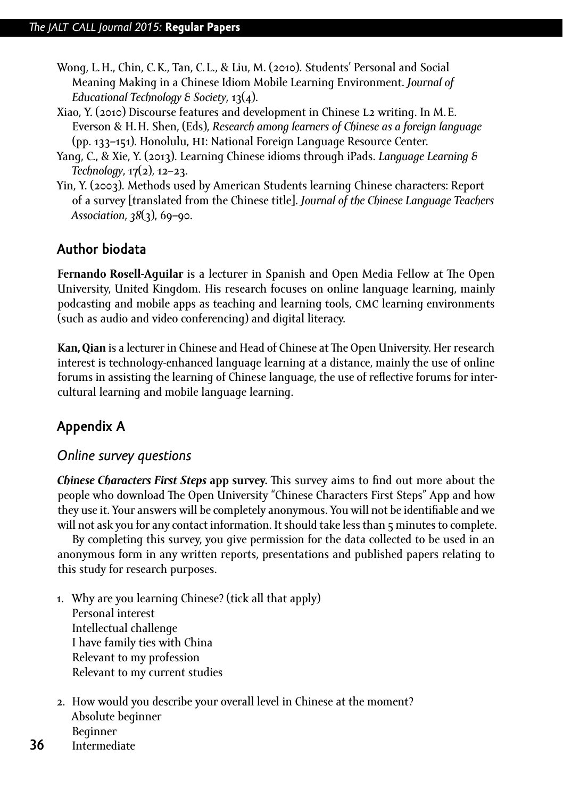- Wong, L.H., Chin, C.K., Tan, C. L., & Liu, M. (2010). Students' Personal and Social Meaning Making in a Chinese Idiom Mobile Learning Environment. *Journal of Educational Technology & Society*, 13(4).
- Xiao, Y. (2010) Discourse features and development in Chinese l2 writing. In M.E. Everson & H.H. Shen, (Eds), *Research among learners of Chinese as a foreign language* (pp. 133–151). Honolulu, hi: National Foreign Language Resource Center.
- Yang, C., & Xie, Y. (2013). Learning Chinese idioms through iPads. *Language Learning & Technology*, 17(2), 12–23.
- Yin, Y. (2003). Methods used by American Students learning Chinese characters: Report of a survey [translated from the Chinese title]. *Journal of the Chinese Language Teachers Association*, *38*(3), 69–90.

# **Author biodata**

**Fernando Rosell-Aguilar** is a lecturer in Spanish and Open Media Fellow at The Open University, United Kingdom. His research focuses on online language learning, mainly podcasting and mobile apps as teaching and learning tools, cmc learning environments (such as audio and video conferencing) and digital literacy.

**Kan, Qian** is a lecturer in Chinese and Head of Chinese at The Open University. Her research interest is technology-enhanced language learning at a distance, mainly the use of online forums in assisting the learning of Chinese language, the use of reflective forums for intercultural learning and mobile language learning.

# **Appendix A**

**36**

## *Online survey questions*

*Chinese Characters First Steps* **app survey.** This survey aims to find out more about the people who download The Open University "Chinese Characters First Steps" App and how they use it. Your answers will be completely anonymous. You will not be identifiable and we will not ask you for any contact information. It should take less than  $\tau$  minutes to complete.

By completing this survey, you give permission for the data collected to be used in an anonymous form in any written reports, presentations and published papers relating to this study for research purposes.

- 1. Why are you learning Chinese? (tick all that apply) Personal interest Intellectual challenge I have family ties with China Relevant to my profession Relevant to my current studies
- 2. How would you describe your overall level in Chinese at the moment? Absolute beginner Beginner Intermediate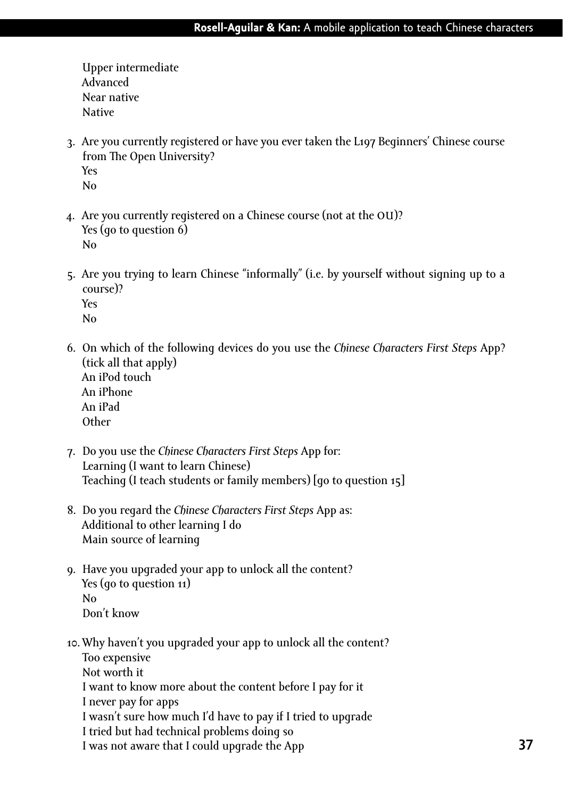Upper intermediate Advanced Near native Native

- 3. Are you currently registered or have you ever taken the L197 Beginners' Chinese course from The Open University? Yes No
- 4. Are you currently registered on a Chinese course (not at the ou)? Yes (go to question 6) No
- 5. Are you trying to learn Chinese "informally" (i.e. by yourself without signing up to a course)? Yes No
- 6. On which of the following devices do you use the *Chinese Characters First Steps* App? (tick all that apply) An iPod touch An iPhone An iPad **Other**
- 7. Do you use the *Chinese Characters First Steps* App for: Learning (I want to learn Chinese) Teaching (I teach students or family members) [go to question 15]
- 8. Do you regard the *Chinese Characters First Steps* App as: Additional to other learning I do Main source of learning
- 9. Have you upgraded your app to unlock all the content? Yes (go to question 11) No Don't know
- 10.Why haven't you upgraded your app to unlock all the content? Too expensive Not worth it I want to know more about the content before I pay for it I never pay for apps I wasn't sure how much I'd have to pay if I tried to upgrade I tried but had technical problems doing so I was not aware that I could upgrade the App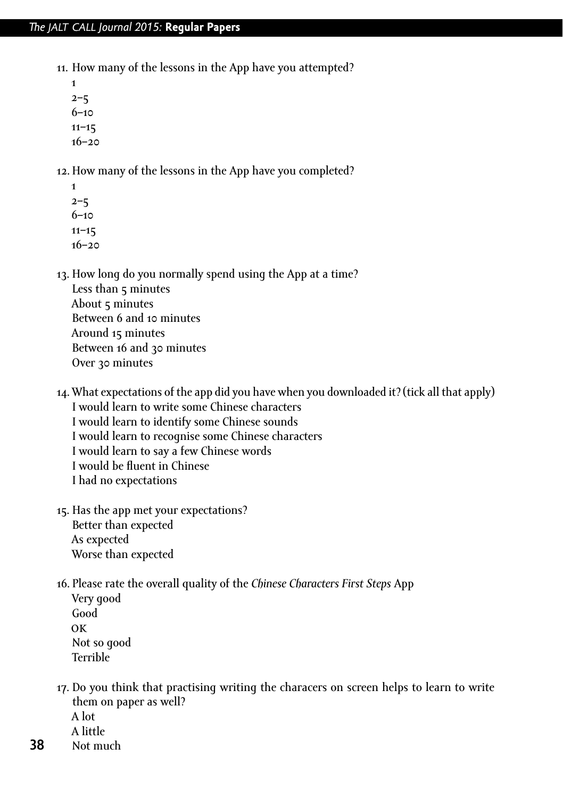#### *The jalt call Journal 2015:* **Regular Papers**

- 11. How many of the lessons in the App have you attempted?
	- 1  $2 - 5$ 6–10  $11 - 15$ 16–20

12. How many of the lessons in the App have you completed?

1  $2 - 5$ 6–10 11–15 16–20

13. How long do you normally spend using the App at a time? Less than 5 minutes About 5 minutes Between 6 and 10 minutes Around 15 minutes Between 16 and 30 minutes

- Over 30 minutes
- 14.What expectations of the app did you have when you downloaded it? (tick all that apply) I would learn to write some Chinese characters I would learn to identify some Chinese sounds I would learn to recognise some Chinese characters I would learn to say a few Chinese words I would be fluent in Chinese I had no expectations
- 15. Has the app met your expectations? Better than expected As expected Worse than expected
- 16. Please rate the overall quality of the *Chinese Characters First Steps* App Very good
	- Good ok Not so good Terrible
- 17. Do you think that practising writing the characers on screen helps to learn to write them on paper as well?

A lot

- A little
- **38** Not much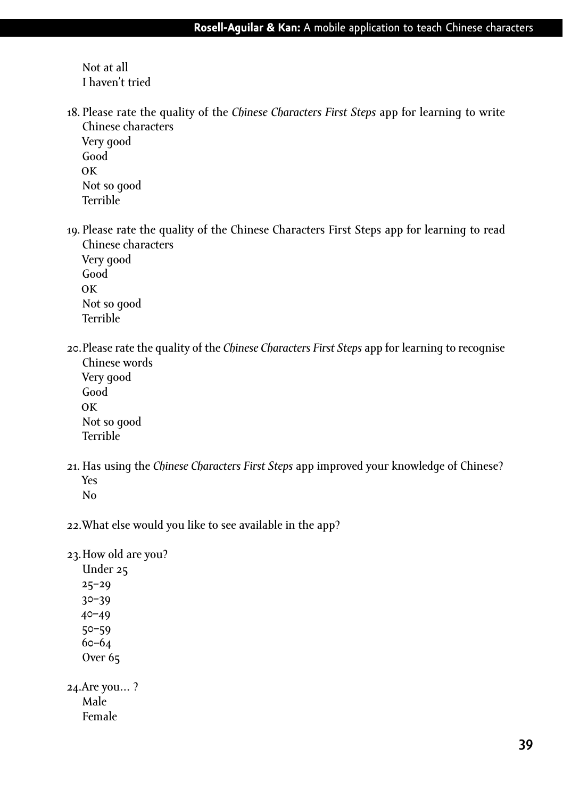Not at all I haven't tried

18. Please rate the quality of the *Chinese Characters First Steps* app for learning to write Chinese characters Very good

Good ok Not so good Terrible

19. Please rate the quality of the Chinese Characters First Steps app for learning to read Chinese characters

Very good Good ok Not so good Terrible

20.Please rate the quality of the *Chinese Characters First Steps* app for learning to recognise Chinese words

Very good Good ok Not so good Terrible

- 21. Has using the *Chinese Characters First Steps* app improved your knowledge of Chinese? Yes No
- 22.What else would you like to see available in the app?

23.How old are you?

Under 25 25–29 30–39 40–49 50–59 60–64 Over 65 24.Are you… ? Male Female